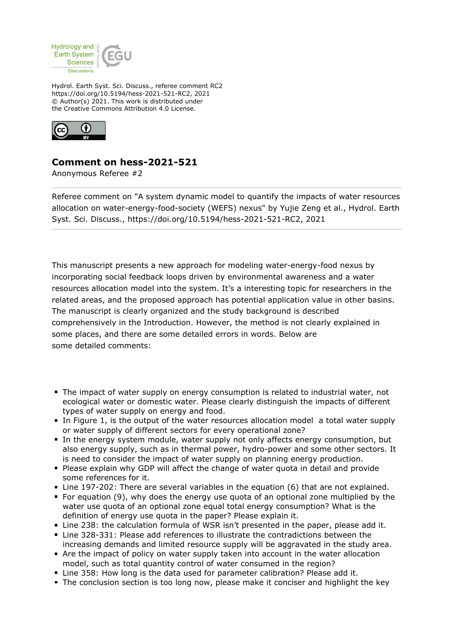

Hydrol. Earth Syst. Sci. Discuss., referee comment RC2 https://doi.org/10.5194/hess-2021-521-RC2, 2021 © Author(s) 2021. This work is distributed under the Creative Commons Attribution 4.0 License.



## **Comment on hess-2021-521**

Anonymous Referee #2

Referee comment on "A system dynamic model to quantify the impacts of water resources allocation on water-energy-food-society (WEFS) nexus" by Yujie Zeng et al., Hydrol. Earth Syst. Sci. Discuss., https://doi.org/10.5194/hess-2021-521-RC2, 2021

This manuscript presents a new approach for modeling water-energy-food nexus by incorporating social feedback loops driven by environmental awareness and a water resources allocation model into the system. It's a interesting topic for researchers in the related areas, and the proposed approach has potential application value in other basins. The manuscript is clearly organized and the study background is described comprehensively in the Introduction. However, the method is not clearly explained in some places, and there are some detailed errors in words. Below are some detailed comments:

- The impact of water supply on energy consumption is related to industrial water, not ecological water or domestic water. Please clearly distinguish the impacts of different types of water supply on energy and food.
- In Figure 1, is the output of the water resources allocation model a total water supply or water supply of different sectors for every operational zone?
- In the energy system module, water supply not only affects energy consumption, but also energy supply, such as in thermal power, hydro-power and some other sectors. It is need to consider the impact of water supply on planning energy production.
- **Please explain why GDP will affect the change of water quota in detail and provide** some references for it.
- Line 197-202: There are several variables in the equation (6) that are not explained.
- For equation (9), why does the energy use quota of an optional zone multiplied by the water use quota of an optional zone equal total energy consumption? What is the definition of energy use quota in the paper? Please explain it.
- Line 238: the calculation formula of WSR isn't presented in the paper, please add it.
- Line 328-331: Please add references to illustrate the contradictions between the increasing demands and limited resource supply will be aggravated in the study area.
- Are the impact of policy on water supply taken into account in the water allocation model, such as total quantity control of water consumed in the region?
- **Line 358: How long is the data used for parameter calibration? Please add it.**
- The conclusion section is too long now, please make it conciser and highlight the key